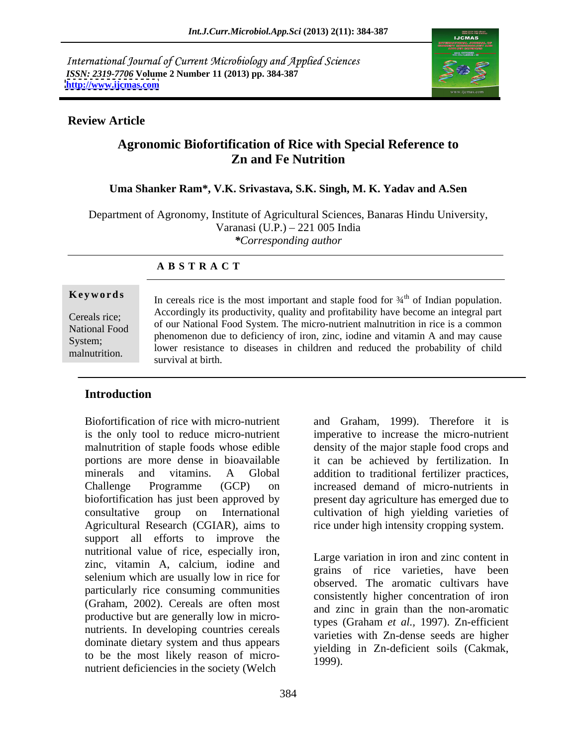International Journal of Current Microbiology and Applied Sciences *ISSN: 2319-7706* **Volume 2 Number 11 (2013) pp. 384-387 <http://www.ijcmas.com>**



### **Review Article**

# **Agronomic Biofortification of Rice with Special Reference to Zn and Fe Nutrition**

### **Uma Shanker Ram\*, V.K. Srivastava, S.K. Singh, M. K. Yadav and A.Sen**

Department of Agronomy, Institute of Agricultural Sciences, Banaras Hindu University, Varanasi (U.P.) – 221 005 India *\*Corresponding author*

#### **A B S T R A C T**

**Keywords** In cereals rice is the most important and staple food for  $\frac{3}{4}$ <sup>th</sup> of Indian population. Cereals rice; of our National Food System. The micro-nutrient malnutrition in rice is a common National Food phenomenon due to deficiency of iron, zinc, iodine and vitamin A and may cause System;<br>System;<br>large printing to discover in this case of a school the probability of child by stem,<br>malnutrition. lower resistance to diseases in children and reduced the probability of child <sup>th</sup> of Indian population. Accordingly its productivity, quality and profitability have become an integral part survival at birth.

## **Introduction**

Biofortification of rice with micro-nutrient and Graham, 1999). Therefore it is is the only tool to reduce micro-nutrient imperative to increase the micro-nutrient malnutrition of staple foods whose edible density of the major staple food crops and portions are more dense in bioavailable it can be achieved by fertilization. In minerals and vitamins. A Global addition to traditional fertilizer practices, Challenge Programme (GCP) on increased demand of micro-nutrients in biofortification has just been approved by present day agriculture has emerged due to consultative group on International cultivation of high yielding varieties of Agricultural Research (CGIAR), aims to rice under high intensity cropping system. support all efforts to improve the nutritional value of rice, especially iron, zinc, vitamin A, calcium, iodine and selenium which are usually low in rice for particularly rice consuming communities (Graham, 2002). Cereals are often most productive but are generally low in micro nutrients. In developing countries cereals dominate dietary system and thus appears to be the most likely reason of micro-<br>1999). nutrient deficiencies in the society (Welch

Large variation in iron and zinc content in grains of rice varieties, have been observed. The aromatic cultivars have consistently higher concentration of iron and zinc in grain than the non-aromatic types (Graham *et al.*, 1997). Zn-efficient varieties with Zn-dense seeds are higher yielding in Zn-deficient soils (Cakmak, 1999).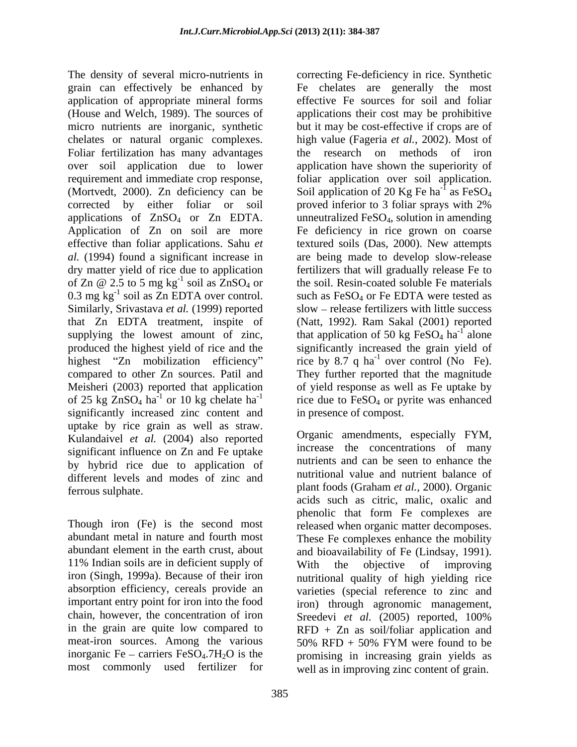The density of several micro-nutrients in correcting Fe-deficiency in rice. Synthetic grain can effectively be enhanced by application of appropriate mineral forms (House and Welch, 1989). The sources of applications their cost may be prohibitive micro nutrients are inorganic, synthetic but it may be cost-effective if crops are of chelates or natural organic complexes. Foliar fertilization has many advantages the research on methods of iron over soil application due to lower application have shown the superiority of requirement and immediate crop response, foliar application over soil application. (Mortvedt, 2000). Zn deficiency can be corrected by either foliar or soil proved inferior to 3 foliar sprays with 2% applications of  $ZnSO_4$  or  $Zn$  EDTA. unneutralized FeSO<sub>4</sub>, solution in amending Application of Zn on soil are more Fe deficiency in rice grown on coarse effective than foliar applications. Sahu *et*  textured soils (Das, 2000). New attempts *al.* (1994) found a significant increase in are being made to develop slow-release dry matter yield of rice due to application fertilizers that will gradually release Fe to of  $Zn \n\mathcal{Q}$  2.5 to 5 mg kg<sup>-1</sup> soil as  $ZnSO_4$  or the soil. Resin-coated soluble Fe materials 0.3 mg  $kg^{-1}$  soil as Zn EDTA over control. Similarly, Srivastava *et al.* (1999) reported that Zn EDTA treatment, inspite of (Natt, 1992). Ram Sakal (2001) reported supplying the lowest amount of zinc, that application of 50 kg  $FeSO<sub>4</sub>$  ha<sup>-1</sup> alone produced the highest yield of rice and the significantly increased the grain yield of highest "Zn mobilization efficiency" rice by 8.7 q ha<sup>-1</sup> over control (No Fe). compared to other Zn sources. Patil and They further reported that the magnitude Meisheri (2003) reported that application of yield response as well as Fe uptake by of 25 kg  $ZnSO_4$  ha<sup>-1</sup> or 10 kg chelate ha<sup>-1</sup> rice due to  $FeSO_4$  or pyrite was enhanced significantly increased zinc content and uptake by rice grain as well as straw. Kulandaivel *et al.* (2004) also reported significant influence on Zn and Fe uptake by hybrid rice due to application of different levels and modes of zinc and ferrous sulphate. plant foods (Graham *et al.,* 2000). Organic

Though iron (Fe) is the second most abundant metal in nature and fourth most These Fe complexes enhance the mobility abundant element in the earth crust, about and bioavailability of Fe (Lindsay, 1991). 11% Indian soils are in deficient supply of with the objective of improving iron (Singh, 1999a). Because of their iron absorption efficiency, cereals provide an varieties (special reference to zinc and important entry point for iron into the food iron) through agronomic management, chain, however, the concentration of iron Sreedevi et al.  $(2005)$  reported, 100% in the grain are quite low compared to RFD + Zn as soil/foliar application and meat-iron sources. Among the various  $50\%$  RFD + 50% FYM were found to be inorganic Fe – carriers FeSO<sub>4</sub>.7H<sub>2</sub>O is the promising in increasing grain yields as

<sup>-1</sup> soil as  $ZnSO_4$  or the soil. Resin-coated soluble Fe materials <sup>-1</sup> soil as  $Zn$  EDTA over control. such as FeSO<sub>4</sub> or Fe EDTA were tested as Fe chelates are generally the most effective Fe sources for soil and foliar high value (Fageria *et al.*, 2002). Most of Soil application of 20 Kg Fe ha<sup>-1</sup> as FeSO<sub>4</sub>  $\frac{1}{2}$  or  $\Gamma_2$  SO as  $FeSO<sub>4</sub>$ slow – release fertilizers with little success  $\frac{1}{2}$  along alone over control (No Fe). in presence of compost.

most commonly used fertilizer for well as in improving zinc content of grain. Organic amendments, especially FYM, increase the concentrations of many nutrients and can be seen to enhance the nutritional value and nutrient balance of acids such as citric, malic, oxalic and phenolic that form Fe complexes are released when organic matter decomposes. With the objective of improving nutritional quality of high yielding rice Sreedevi *et al.* (2005) reported, 100% 50% RFD + 50% FYM were found tobe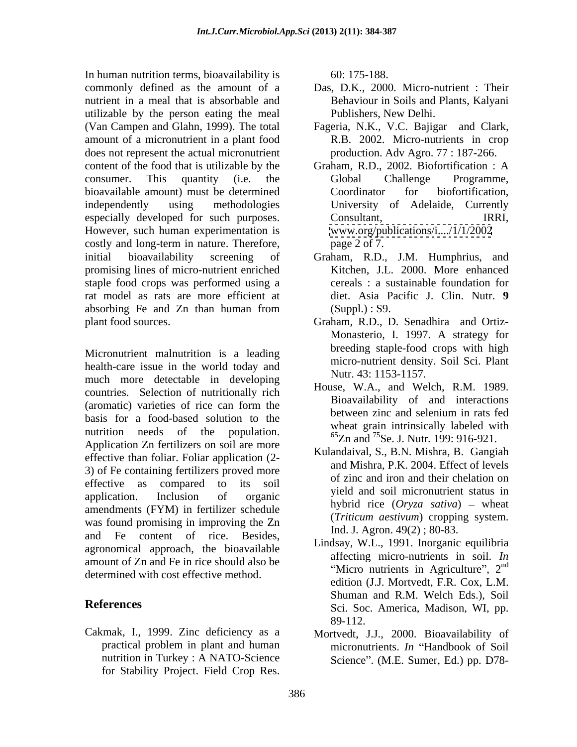In human nutrition terms, bioavailability is 60: 175-188. commonly defined as the amount of a Das, D.K., 2000. Micro-nutrient : Their nutrient in a meal that is absorbable and utilizable by the person eating the meal (Van Campen and Glahn, 1999). The total amount of a micronutrient in a plant food does not represent the actual micronutrient content of the food that is utilizable by the Graham, R.D., 2002. Biofortification : A consumer. This quantity (i.e. the bioavailable amount) must be determined<br>
Coordinator for biofortification, independently using methodologies University of Adelaide, Currently especially developed for such purposes. Consultant, Consultant, IRRI, However, such human experimentation is costly and long-term in nature. Therefore, page 2 of 7. initial bioavailability screening of Graham, R.D., J.M. Humphrius, and promising lines of micro-nutrient enriched staple food crops was performed using a rat model as rats are more efficient at absorbing Fe and Zn than human from (Suppl.): S9.

Micronutrient malnutrition is a leading health-care issue in the world today and much more detectable in developing countries. Selection of nutritionally rich (aromatic) varieties of rice can form the bioavailability of and interactions basis for a food-based solution to the between zinc and selenium in rats fed nutrition needs of the population.  $\frac{65}{2}$   $\frac{1}{25}$   $\frac{1}{25}$   $\frac{1}{25}$   $\frac{1}{25}$   $\frac{1}{25}$   $\frac{1}{25}$   $\frac{1}{25}$   $\frac{1}{25}$   $\frac{1}{25}$   $\frac{1}{25}$   $\frac{1}{25}$   $\frac{1}{25}$   $\frac{1}{25}$   $\frac{1}{25}$   $\frac{1}{25}$   $\frac{1}{25}$ Application Zn fertilizers on soil are more effective than foliar. Foliar application (2- 3) of Fe containing fertilizers proved more effective as compared to its soil of the did not and then cheration on application. Inclusion of organic yield and son incronduction status in amendments (FYM) in fertilizer schedule was found promising in improving the Zn and Fe content of rice. Besides, agronomical approach, the bioavailable amount of Zn and Fe in rice should also be determined with cost effective method.

Cakmak, I., 1999. Zinc deficiency as a nutrition in Turkey : A NATO-Science for Stability Project. Field Crop Res.

60: 175-188.

- Behaviour in Soils and Plants, Kalyani Publishers, New Delhi.
- Fageria, N.K., V.C. Bajigar and Clark, R.B. 2002. Micro-nutrients in crop production. Adv Agro. 77 : 187-266.
- Global Challenge Programme, Coordinator for biofortification, Consultant, IRRI, [www.org/publications/i..../1/1/2002](http://www.org/publications/i..../1/1/2002)
- page 2 of 7. Graham, R.D., J.M. Humphrius, and Kitchen, J.L. 2000. More enhanced cereals : a sustainable foundation for diet. Asia Pacific J. Clin. Nutr. **9**  $(Suppl.): S9.$
- plant food sources. Graham, R.D., D. Senadhira and Ortiz- Monasterio, I. 1997. A strategy for breeding staple-food crops with high micro-nutrient density. Soil Sci. Plant Nutr. 43: 1153-1157.
	- House, W.A., and Welch, R.M. 1989. Bioavailability of and interactions between zinc and selenium in rats fed wheat grain intrinsically labeled with 65Zn and 75Se. J. Nutr*.* 199: 916-921.
	- Kulandaival, S., B.N. Mishra, B. Gangiah and Mishra, P.K. 2004. Effect of levels of zinc and iron and their chelation on yield and soil micronutrient status in hybrid rice (*Oryza sativa*) – wheat (*Triticum aestivum*) cropping system. Ind. J. Agron. 49(2) ; 80-83.
- **References** Sci. Soc. America, Madison, WI, pp. Lindsay, W.L., 1991. Inorganic equilibria affecting micro-nutrients in soil. *In* "Micro nutrients in Agriculture",  $2<sup>nd</sup>$ nd edition (J.J. Mortvedt, F.R. Cox, L.M. Shuman and R.M. Welch Eds.), Soil 89-112.
	- practical problem in plant and human micronutrients. *In* "Handbook of Soil Mortvedt, J.J., 2000. Bioavailability of Science". (M.E. Sumer, Ed.) pp. D78-